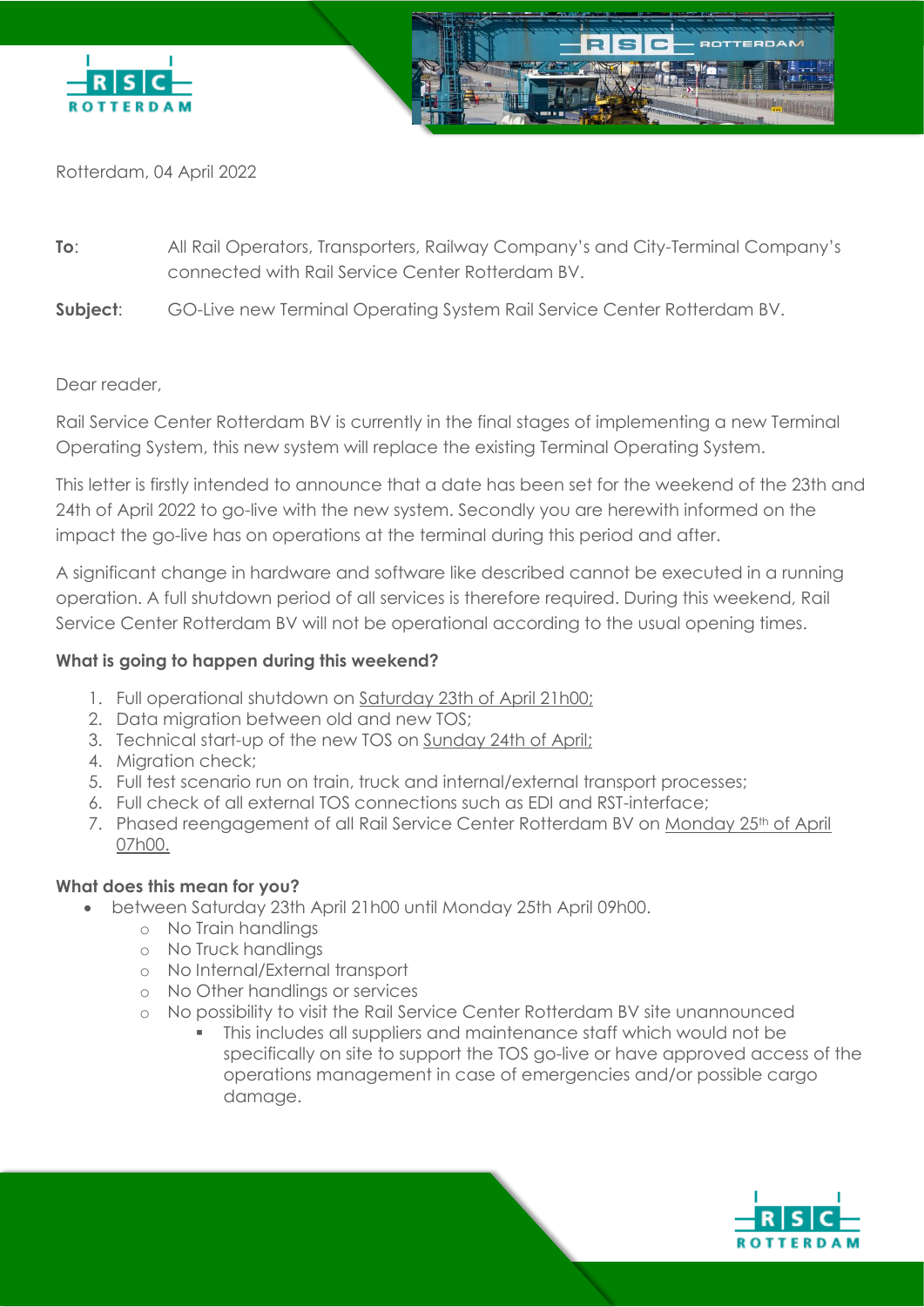

Rotterdam, 04 April 2022

- **To**: All Rail Operators, Transporters, Railway Company's and City-Terminal Company's connected with Rail Service Center Rotterdam BV.
- **Subject:** GO-Live new Terminal Operating System Rail Service Center Rotterdam BV.

## Dear reader,

Rail Service Center Rotterdam BV is currently in the final stages of implementing a new Terminal Operating System, this new system will replace the existing Terminal Operating System.

This letter is firstly intended to announce that a date has been set for the weekend of the 23th and 24th of April 2022 to go-live with the new system. Secondly you are herewith informed on the impact the go-live has on operations at the terminal during this period and after.

A significant change in hardware and software like described cannot be executed in a running operation. A full shutdown period of all services is therefore required. During this weekend, Rail Service Center Rotterdam BV will not be operational according to the usual opening times.

## **What is going to happen during this weekend?**

- 1. Full operational shutdown on Saturday 23th of April 21h00;
- 2. Data migration between old and new TOS;
- 3. Technical start-up of the new TOS on Sunday 24th of April;
- 4. Migration check;
- 5. Full test scenario run on train, truck and internal/external transport processes;
- 6. Full check of all external TOS connections such as EDI and RST-interface;
- 7. Phased reengagement of all Rail Service Center Rotterdam BV on Monday 25<sup>th</sup> of April 07h00.

## **What does this mean for you?**

- between Saturday 23th April 21h00 until Monday 25th April 09h00.
	- o No Train handlings
	- o No Truck handlings
	- o No Internal/External transport
	- o No Other handlings or services
	- o No possibility to visit the Rail Service Center Rotterdam BV site unannounced
		- This includes all suppliers and maintenance staff which would not be specifically on site to support the TOS go-live or have approved access of the operations management in case of emergencies and/or possible cargo damage.